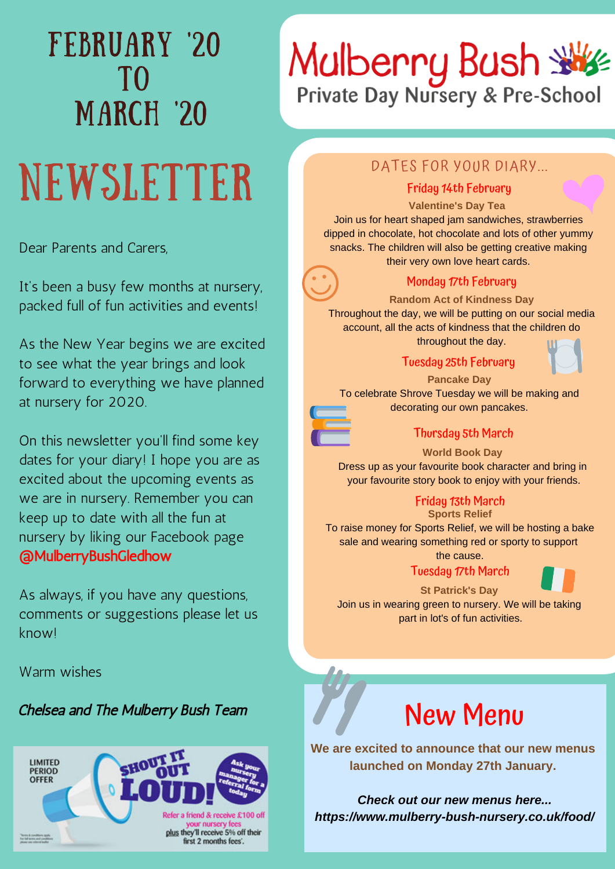# FEBRUARY '20 TO MARCH '20

# NEWSLETTER

Dear Parents and Carers,

It's been a busy few months at nursery, packed full of fun activities and events!

As the New Year begins we are excited to see what the year brings and look forward to everything we have planned at nursery for 2020.

On this newsletter you'll find some key dates for your diary! I hope you are as excited about the upcoming events as we are in nursery. Remember you can keep up to date with all the fun at nursery by liking our Facebook page @MulberryBushGledhow

As always, if you have any questions, comments or suggestions please let us know!

Warm wishes

## Chelsea and The Mulberry Bush Team



# Mulberry Bush

# DATES FOR YOUR DIARY...

#### Friday 14th February

#### **Valentine's Day Tea**

Join us for heart shaped jam sandwiches, strawberries dipped in chocolate, hot chocolate and lots of other yummy snacks. The children will also be getting creative making their very own love heart cards.



### Monday 17th February

**Random Act of Kindness Day** Throughout the day, we will be putting on our social media account, all the acts of kindness that the children do

throughout the day.

#### Tuesday 25th February



**Pancake Day**

To celebrate Shrove Tuesday we will be making and decorating our own pancakes.



#### Thursday 5th March

**World Book Day**  Dress up as your favourite book character and bring in

your favourite story book to enjoy with your friends.

## Friday 13th March

**Sports Relief** To raise money for Sports Relief, we will be hosting a bake sale and wearing something red or sporty to support

> the cause. Tuesday 17th March



#### **St Patrick's Day**

Join us in wearing green to nursery. We will be taking part in lot's of fun activities.



**We are excited to announce that our new menus launched on Monday 27th January.** 

*Check out our new menus here... https://www.mulberry-bush-nursery.co.uk/food/*